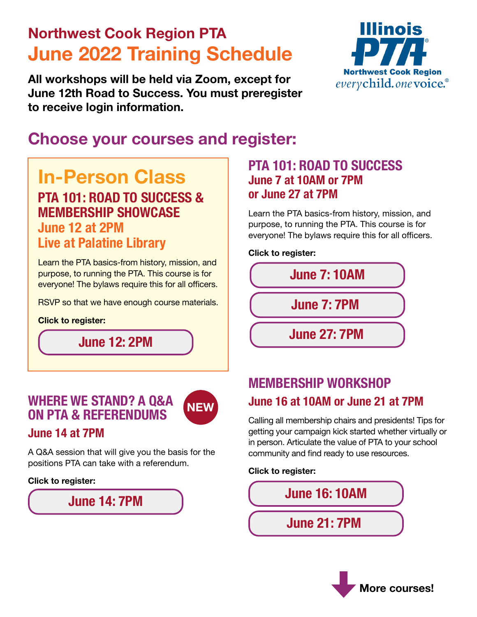# **Northwest Cook Region PTA June 2022 Training Schedule**

**All workshops will be held via Zoom, except for June 12th Road to Success. You must preregister to receive login information.**



# **Choose your courses and register:**

# **PTA 101: ROAD TO SUCCESS & MEMBERSHIP SHOWCASE June 12 at 2PM Live at Palatine Library**

Learn the PTA basics-from history, mission, and purpose, to running the PTA. This course is for everyone! The bylaws require this for all officers.

RSVP so that we have enough course materials.

#### **Click to register:**

**[June 12: 2PM](https://forms.gle/1roZDx4eSXhEwn8Q6)**

### **WHERE WE STAND? A Q&A ON PTA & REFERENDUMS**



### **June 14 at 7PM**

A Q&A session that will give you the basis for the positions PTA can take with a referendum.

#### **Click to register:**



### **In-Person Class PTA 101: ROAD TO SUCCESS June 7 at 10AM or 7PM or June 27 at 7PM**

Learn the PTA basics-from history, mission, and purpose, to running the PTA. This course is for everyone! The bylaws require this for all officers.

**Click to register:**



### **MEMBERSHIP WORKSHOP June 16 at 10AM or June 21 at 7PM**

Calling all membership chairs and presidents! Tips for getting your campaign kick started whether virtually or in person. Articulate the value of PTA to your school community and find ready to use resources.

#### **Click to register:**